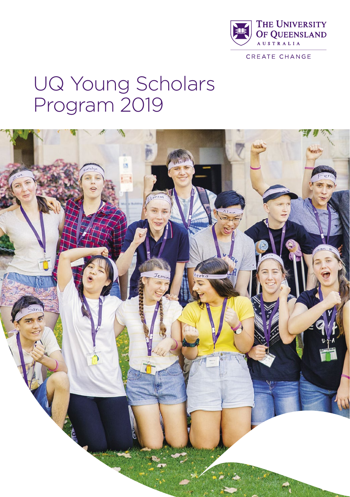

CREATE CHANGE

# UQ Young Scholars Program 2019

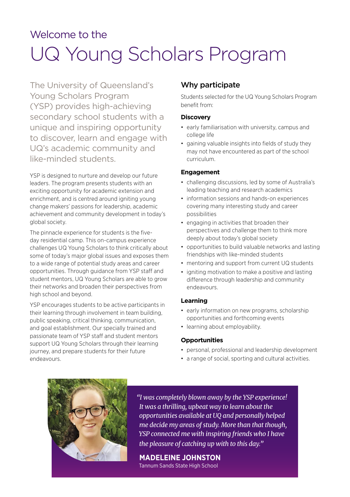# UQ Young Scholars Program Welcome to the

The University of Queensland's Young Scholars Program (YSP) provides high-achieving secondary school students with a unique and inspiring opportunity to discover, learn and engage with UQ's academic community and like-minded students.

YSP is designed to nurture and develop our future leaders. The program presents students with an exciting opportunity for academic extension and enrichment, and is centred around igniting young change makers' passions for leadership, academic achievement and community development in today's global society.

The pinnacle experience for students is the fiveday residential camp. This on-campus experience challenges UQ Young Scholars to think critically about some of today's major global issues and exposes them to a wide range of potential study areas and career opportunities. Through guidance from YSP staff and student mentors, UQ Young Scholars are able to grow their networks and broaden their perspectives from high school and beyond.

YSP encourages students to be active participants in their learning through involvement in team building, public speaking, critical thinking, communication, and goal establishment. Our specially trained and passionate team of YSP staff and student mentors support UQ Young Scholars through their learning journey, and prepare students for their future endeavours.

# Why participate

Students selected for the UQ Young Scholars Program benefit from:

#### **Discovery**

- early familiarisation with university, campus and college life
- gaining valuable insights into fields of study they may not have encountered as part of the school curriculum.

#### **Engagement**

- challenging discussions, led by some of Australia's leading teaching and research academics
- information sessions and hands-on experiences covering many interesting study and career possibilities
- engaging in activities that broaden their perspectives and challenge them to think more deeply about today's global society
- opportunities to build valuable networks and lasting friendships with like-minded students
- mentoring and support from current UQ students
- igniting motivation to make a positive and lasting difference through leadership and community endeavours.

#### **Learning**

- early information on new programs, scholarship opportunities and forthcoming events
- learning about employability.

#### **Opportunities**

- personal, professional and leadership development
- a range of social, sporting and cultural activities.



*"I was completely blown away by the YSP experience! It was a thrilling, upbeat way to learn about the opportunities available at UQ and personally helped me decide my areas of study. More than that though, YSP connected me with inspiring friends who I have the pleasure of catching up with to this day."*

# **MADELEINE JOHNSTON**

Tannum Sands State High School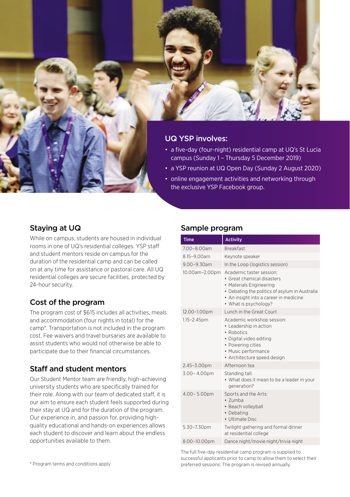

#### UQ YSP involves:

- a five-day (four-night) residential camp at UQ's St Lucia campus (Sunday 1 – Thursday 5 December 2019)
- a YSP reunion at UQ Open Day (Sunday 2 August 2020)
- online engagement activities and networking through the exclusive YSP Facebook group.

### Staying at UQ

While on campus, students are housed in individual rooms in one of UQ's residential colleges. YSP staff and student mentors reside on campus for the duration of the residential camp and can be called on at any time for assistance or pastoral care. All UQ residential colleges are secure facilities, protected by 24-hour security.

# Cost of the program

The program cost of \$615 includes all activities, meals and accommodation (four nights in total) for the camp\*. Transportation is not included in the program cost. Fee waivers and travel bursaries are available to assist students who would not otherwise be able to participate due to their financial circumstances.

# Staff and student mentors

Our Student Mentor team are friendly, high-achieving university students who are specifically trained for their role. Along with our team of dedicated staff, it is our aim to ensure each student feels supported during their stay at UQ and for the duration of the program. Our experience in, and passion for, providing highquality educational and hands-on experiences allows each student to discover and learn about the endless opportunities available to them.

#### Sample program

| <b>Time</b>      | <b>Activity</b>                                                                                                                                                                                        |
|------------------|--------------------------------------------------------------------------------------------------------------------------------------------------------------------------------------------------------|
| 7.00-8.00am      | <b>Breakfast</b>                                                                                                                                                                                       |
| 8.15-9.00am      | Keynote speaker                                                                                                                                                                                        |
| $9.00 - 9.30$ am | In the Loop (logistics session)                                                                                                                                                                        |
| 10.00am-2.00pm   | Academic taster session:<br>• Great chemical disasters<br>• Materials Engineering<br>• Debating the politics of asylum in Australia<br>• An insight into a career in medicine<br>• What is psychology? |
| 12.00-1.00pm     | <b>Lunch in the Great Court</b>                                                                                                                                                                        |
| 1.15-2.45pm      | Academic workshop session:<br>• Leadership in action<br>• Robotics<br>• Digital video editing<br>• Powering cities<br>• Music performance<br>· Architecture speed design                               |
| 2.45-3.00pm      | Afternoon tea                                                                                                                                                                                          |
| 3.00-4.00pm      | Standing tall:<br>• What does it mean to be a leader in your<br>generation?                                                                                                                            |
| 4.00-5.00pm      | Sports and the Arts:<br>• Zumba<br>• Beach volleyball<br>• Debating<br>• Ultimate Disc                                                                                                                 |
| 5.30-7.30pm      | Twilight gathering and formal dinner<br>at residential college                                                                                                                                         |
| 8.00-10.00pm     | Dance night/movie night/trivia night                                                                                                                                                                   |

The full five-day residential camp program is supplied to successful applicants prior to camp to allow them to select their \* Program terms and conditions apply preferred sessions. The program is revised annually.